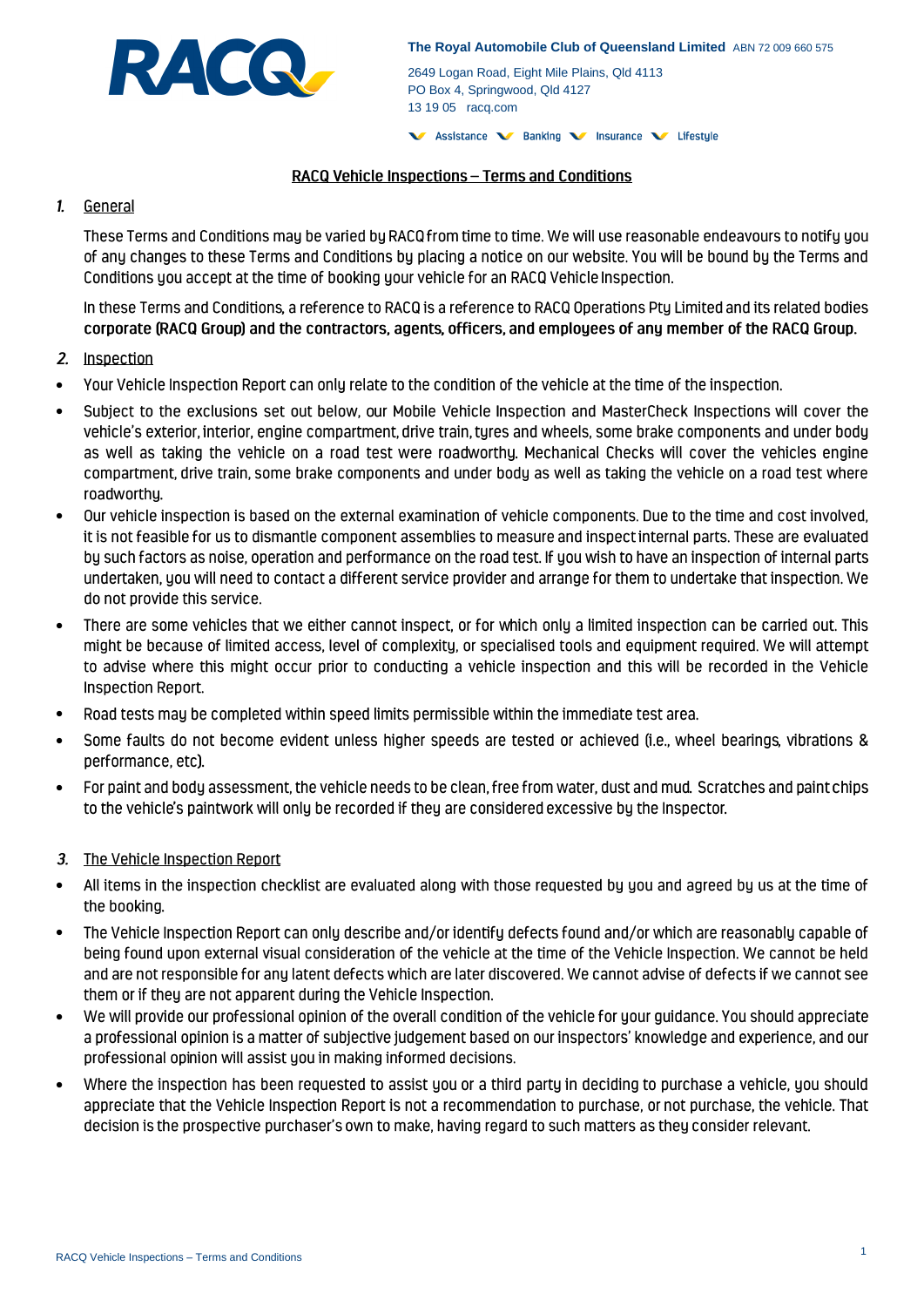

2649 Logan Road, Eight Mile Plains, Qld 4113 PO Box 4, Springwood, Qld 4127 13 19 05 racq.com

V Assistance V Banking V Insurance V Lifestyle

#### RACQ Vehicle Inspections - Terms and Conditions

### 1. General

These Terms and Conditions may be varied by RACQ from time to time. We will use reasonable endeavours to notify you of any changes to these Terms and Conditions by placing a notice on our website. You will be bound by the Terms and Conditions you accept at the time of booking your vehicle for an RACQ Vehicle Inspection.

In these Terms and Conditions, a reference to RACQ is a reference to RACQ Operations Pty Limited and its related bodies corporate (RACQ Group) and the contractors, agents, officers, and employees of any member of the RACQ Group.

### 2. Inspection

- Your Vehicle Inspection Report can only relate to the condition of the vehicle at the time of the inspection. •
- Subject to the exclusions set out below, our Mobile Vehicle Inspection and MasterCheck Inspections will cover the • vehicle's exterior, interior, engine compartment, drive train, tyres and wheels, some brake components and under body as well as taking the vehicle on a road test were roadworthy. Mechanical Checks will cover the vehicles engine compartment, drive train, some brake components and under body as well as taking the vehicle on a road test where roadworthy.
- Our vehicle inspection is based on the external examination of vehicle components. Due to the time and cost involved, • it is not feasible for us to dismantle component assemblies to measure and inspect internal parts. These are evaluated by such factors as noise, operation and performance on the road test. If you wish to have an inspection of internal parts undertaken, you will need to contact a different service provider and arrange for them to undertake that inspection. We do not provide this service.
- There are some vehicles that we either cannot inspect, or for which only a limited inspection can be carried out. This might be because of limited access, level of complexity, or specialised tools and equipment required. We will attempt to advise where this might occur prior to conducting a vehicle inspection and this will be recorded in the Vehicle **Inspection Report.**
- Road tests may be completed within speed limits permissible within the immediate test area. •
- Some faults do not become evident unless higher speeds are tested or achieved (i.e., wheel bearings, vibrations & • performance, etc).
- For paint and body assessment, the vehicle needs to be clean, free from water, dust and mud. Scratches and paint chips • to the vehicle's paintwork will only be recorded if they are considered excessive by the Inspector.

### 3. The Vehicle Inspection Report

- All items in the inspection checklist are evaluated along with those requested by you and agreed by us at the time of • the booking.
- The Vehicle Inspection Report can only describe and/or identify defects found and/or which are reasonably capable of • being found upon external visual consideration of the vehicle at the time of the Vehicle Inspection. We cannot be held and are not responsible for any latent defects which are later discovered. We cannot advise of defects if we cannot see them or if they are not apparent during the Vehicle Inspection.
- We will provide our professional opinion of the overall condition of the vehicle for your guidance. You should appreciate • a professional opinion is a matter of subjective judgement based on our inspectors' knowledge and experience, and our professional opinion will assist you in making informed decisions.
- Where the inspection has been requested to assist you or a third party in deciding to purchase a vehicle, you should •appreciate that the Vehicle Inspection Report is not a recommendation to purchase, or not purchase, the vehicle. That decision is the prospective purchaser's own to make, having regard to such matters as they consider relevant.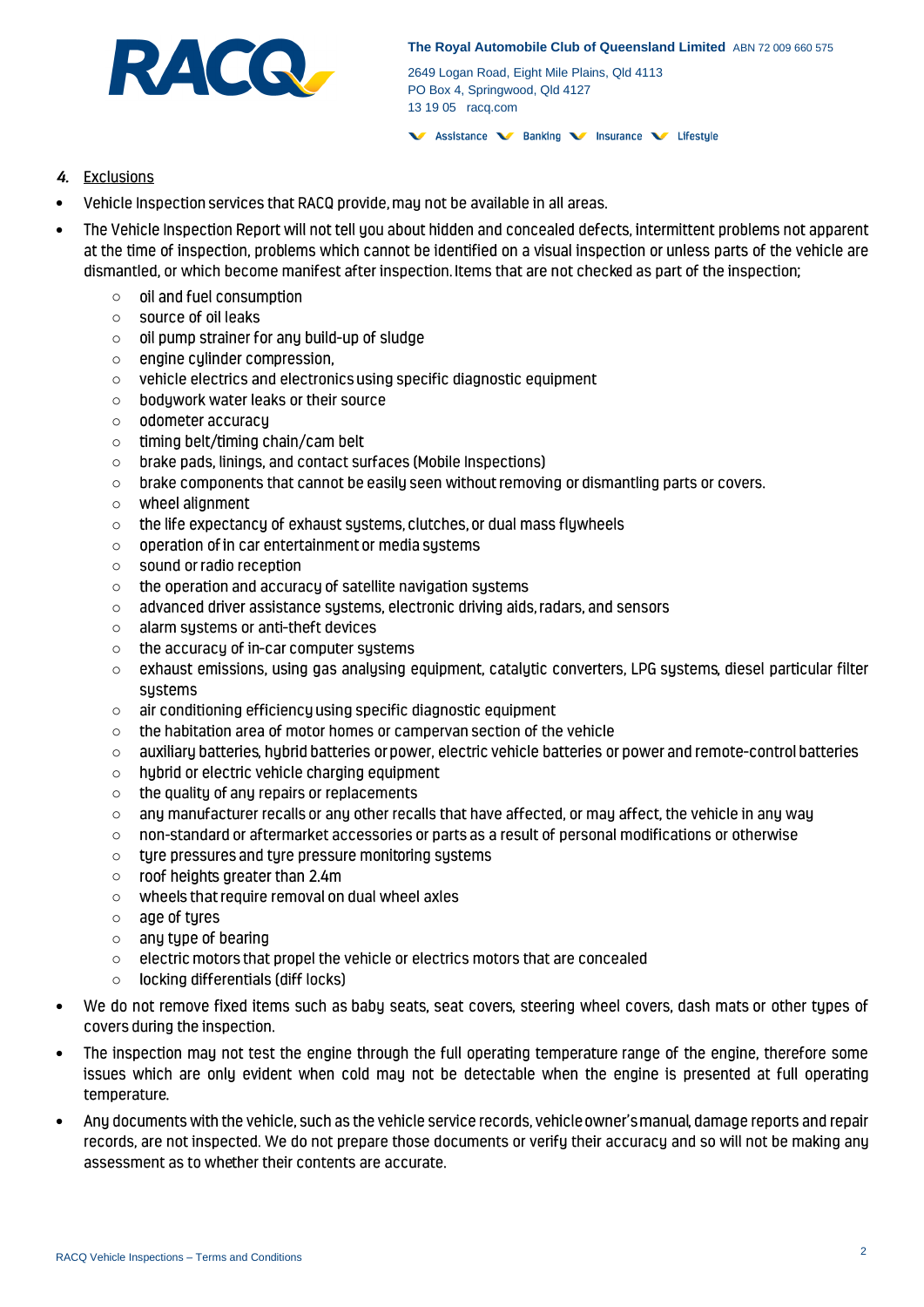

2649 Logan Road, Eight Mile Plains, Qld 4113 PO Box 4, Springwood, Qld 4127 13 19 05 racq.com

V Assistance V Banking V Insurance V Lifestyle

## 4. Exclusions

- Vehicle Inspection services that RACQ provide, may not be available in all areas. •
- The Vehicle Inspection Report will not tell you about hidden and concealed defects, intermittent problems not apparent • at the time of inspection, problems which cannot be identified on a visual inspection or unless parts of the vehicle are dismantled, or which become manifest after inspection. Items that are not checked as part of the inspection;
	- oil and fuel consumption o
	- source of oil leaks o
	- oil pump strainer for any build-up of sludge o
	- engine cylinder compression, o
	- vehicle electrics and electronics using specific diagnostic equipment o
	- bodywork water leaks or their source o
	- odometer accuracy o
	- timing belt/timing chain/cam belt o
	- brake pads, linings, and contact surfaces (Mobile Inspections) o
	- brake components that cannot be easily seen without removing or dismantling parts or covers. o
	- wheel alignment o
	- the life expectancy of exhaust systems, clutches, or dual mass flywheels o
	- operation of in car entertainment or media systems o
	- sound or radio reception o
	- the operation and accuracy of satellite navigation systems o
	- advanced driver assistance systems, electronic driving aids, radars, and sensors o
	- alarm systems or anti-theft devices o
	- the accuracy of in-car computer systems o
	- exhaust emissions, using gas analysing equipment, catalytic converters, LPG systems, diesel particular filter o sustems
	- air conditioning efficiency using specific diagnostic equipment o
	- the habitation area of motor homes or campervan section of the vehicle o
	- auxiliary batteries, hybrid batteries or power, electric vehicle batteries or power and remote-control batteries o
	- hybrid or electric vehicle charging equipment o
	- the quality of any repairs or replacements o
	- any manufacturer recalls or any other recalls that have affected, or may affect, the vehicle in any way o
	- non-standard or aftermarket accessories or parts as a result of personal modifications or otherwise o
	- o tyre pressures and tyre pressure monitoring systems
	- roof heights greater than 2.4m o
	- wheels that require removal on dual wheel axles o
	- age of tyres o
	- any type of bearing o
	- electric motors that propel the vehicle or electrics motors that are concealed o
	- locking differentials (diff locks) o
- We do not remove fixed items such as baby seats, seat covers, steering wheel covers, dash mats or other types of covers during the inspection.
- The inspection may not test the engine through the full operating temperature range of the engine, therefore some • issues which are only evident when cold may not be detectable when the engine is presented at full operating temperature.
- Any documents with the vehicle, such as the vehicle service records, vehicle owner's manual, damage reports and repair •records, are not inspected. We do not prepare those documents or verify their accuracy and so will not be making any assessment as to whether their contents are accurate.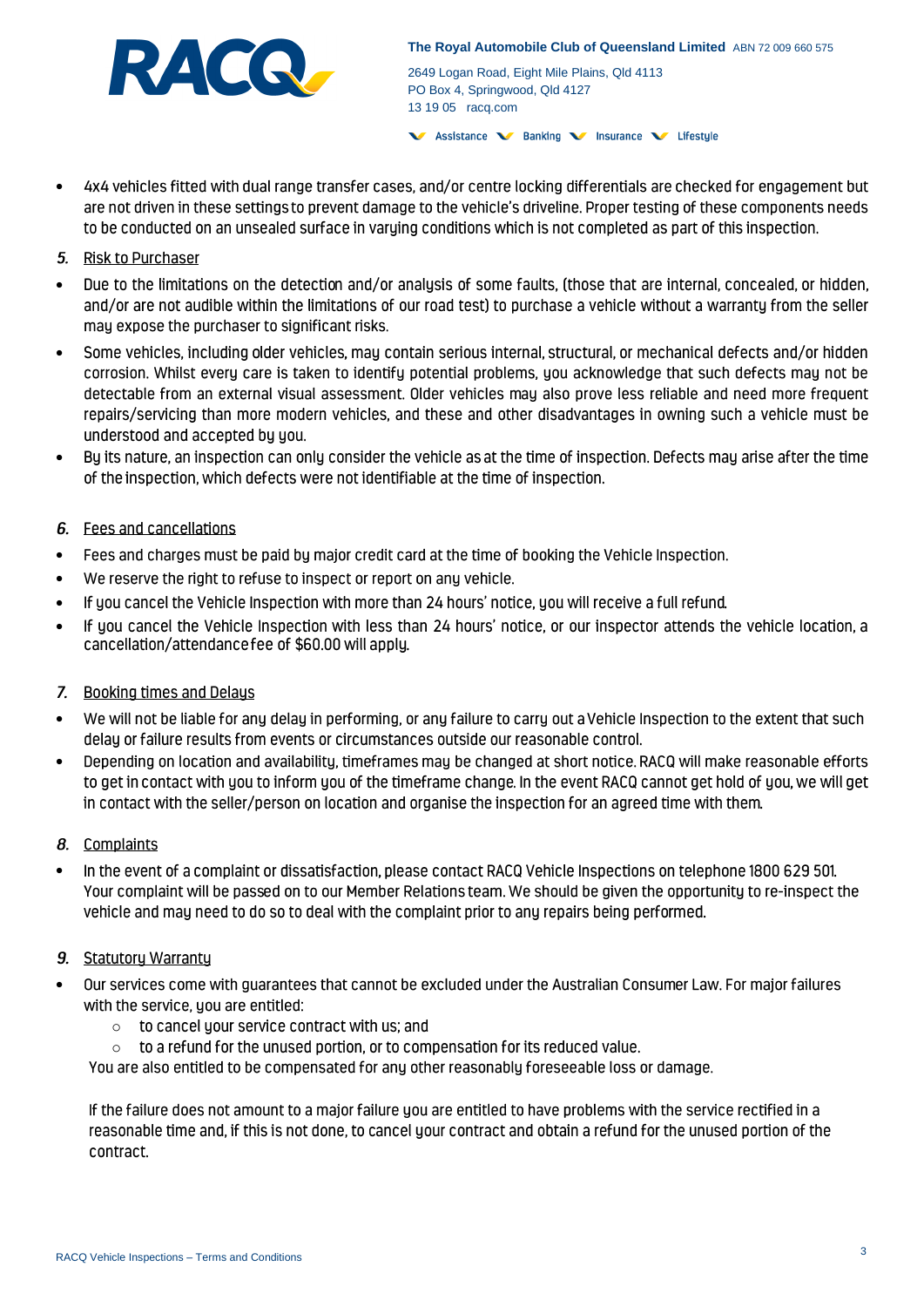

**The Royal Automobile Club of Queensland Limited** ABN 72 009 660 575

2649 Logan Road, Eight Mile Plains, Qld 4113 PO Box 4, Springwood, Qld 4127 13 19 05 racq.com

V Assistance V Banking V Insurance V Lifestyle

• 4x4 vehicles fitted with dual range transfer cases, and/or centre locking differentials are checked for engagement but are not driven in these settings to prevent damage to the vehicle's driveline. Proper testing of these components needs to be conducted on an unsealed surface in varying conditions which is not completed as part of this inspection.

## 5. Risk to Purchaser

- Due to the limitations on the detection and/or analysis of some faults, (those that are internal, concealed, or hidden, • and/or are not audible within the limitations of our road test) to purchase a vehicle without a warranty from the seller may expose the purchaser to significant risks.
- Some vehicles, including older vehicles, may contain serious internal, structural, or mechanical defects and/or hidden • corrosion. Whilst every care is taken to identify potential problems, you acknowledge that such defects may not be detectable from an external visual assessment. Older vehicles may also prove less reliable and need more frequent repairs/servicing than more modern vehicles, and these and other disadvantages in owning such a vehicle must be understood and accepted by you.
- Bu its nature, an inspection can only consider the vehicle as at the time of inspection. Defects may arise after the time • of the inspection, which defects were not identifiable at the time of inspection.

# 6. Fees and cancellations

- Fees and charges must be paid by major credit card at the time of booking the Vehicle Inspection. •
- We reserve the right to refuse to inspect or report on any vehicle.
- If you cancel the Vehicle Inspection with more than 24 hours' notice, you will receive a full refund. •
- If you cancel the Vehicle Inspection with less than 24 hours' notice, or our inspector attends the vehicle location, a • cancellation/attendance fee of \$60.00 will apply.

### 7. Booking times and Delaus

- We will not be liable for any delay in performing, or any failure to carry out a Vehicle Inspection to the extent that such • delay or failure results from events or circumstances outside our reasonable control.
- Depending on location and availability, timeframes may be changed at short notice. RACQ will make reasonable efforts • to get in contact with you to inform you of the timeframe change. In the event RACQ cannot get hold of you, we will get in contact with the seller/person on location and organise the inspection for an agreed time with them.

### 8. Complaints

In the event of a complaint or dissatisfaction, please contact RACQ Vehicle Inspections on telephone 1800 629 501. • Your complaint will be passed on to our Member Relations team. We should be given the opportunity to re-inspect the vehicle and may need to do so to deal with the complaint prior to any repairs being performed.

### 9. Statutory Warranty

- Our services come with guarantees that cannot be excluded under the Australian Consumer Law. For major failures with the service, you are entitled:
	- o to cancel your service contract with us; and
	- o to a refund for the unused portion, or to compensation for its reduced value.

You are also entitled to be compensated for any other reasonably foreseeable loss or damage.

If the failure does not amount to a major failure you are entitled to have problems with the service rectified in a reasonable time and, if this is not done, to cancel your contract and obtain a refund for the unused portion of the contract.